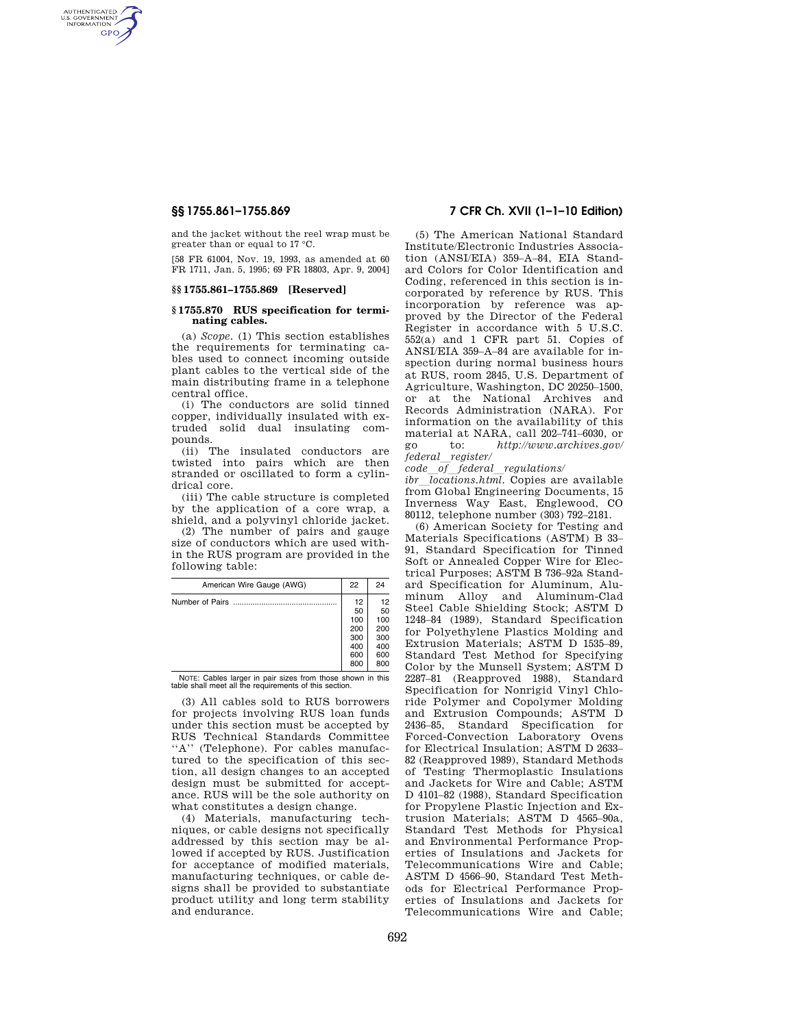AUTHENTICATED<br>U.S. GOVERNMENT<br>INFORMATION **GPO** 

> and the jacket without the reel wrap must be greater than or equal to 17 °C.

> [58 FR 61004, Nov. 19, 1993, as amended at 60 FR 1711, Jan. 5, 1995; 69 FR 18803, Apr. 9, 2004]

# **§§ 1755.861–1755.869 [Reserved]**

### **§ 1755.870 RUS specification for terminating cables.**

(a) *Scope.* (1) This section establishes the requirements for terminating cables used to connect incoming outside plant cables to the vertical side of the main distributing frame in a telephone central office.

(i) The conductors are solid tinned copper, individually insulated with extruded solid dual insulating compounds.

(ii) The insulated conductors are twisted into pairs which are then stranded or oscillated to form a cylindrical core.

(iii) The cable structure is completed by the application of a core wrap, a shield, and a polyvinyl chloride jacket.

(2) The number of pairs and gauge size of conductors which are used within the RUS program are provided in the following table:

| American Wire Gauge (AWG) | 22  | 24  |
|---------------------------|-----|-----|
| Number of Pairs           | 12  | 12  |
|                           | 50  | 50  |
|                           | 100 | 100 |
|                           | 200 | 200 |
|                           | 300 | 300 |
|                           | 400 | 400 |
|                           | 600 | 600 |
|                           | 800 | 800 |

NOTE: Cables larger in pair sizes from those shown in this table shall meet all the requirements of this section.

(3) All cables sold to RUS borrowers for projects involving RUS loan funds under this section must be accepted by RUS Technical Standards Committee "A" (Telephone). For cables manufactured to the specification of this section, all design changes to an accepted design must be submitted for acceptance. RUS will be the sole authority on what constitutes a design change.

(4) Materials, manufacturing techniques, or cable designs not specifically addressed by this section may be allowed if accepted by RUS. Justification for acceptance of modified materials, manufacturing techniques, or cable designs shall be provided to substantiate product utility and long term stability and endurance.

# **§§ 1755.861–1755.869 7 CFR Ch. XVII (1–1–10 Edition)**

(5) The American National Standard Institute/Electronic Industries Association (ANSI/EIA) 359–A–84, EIA Standard Colors for Color Identification and Coding, referenced in this section is incorporated by reference by RUS. This incorporation by reference was approved by the Director of the Federal Register in accordance with 5 U.S.C. 552(a) and 1 CFR part 51. Copies of ANSI/EIA 359–A–84 are available for inspection during normal business hours at RUS, room 2845, U.S. Department of Agriculture, Washington, DC 20250–1500, or at the National Archives and Records Administration (NARA). For information on the availability of this material at NARA, call 202–741–6030, or go to: *http://www.archives.gov/ federal*l*register/* 

*code*l*of*l*federal*l*regulations/* 

*ibr*  $\overline{locations.html}$ . Copies are available from Global Engineering Documents, 15 Inverness Way East, Englewood, CO 80112, telephone number (303) 792–2181.

(6) American Society for Testing and Materials Specifications (ASTM) B 33– 91, Standard Specification for Tinned Soft or Annealed Copper Wire for Electrical Purposes; ASTM B 736–92a Standard Specification for Aluminum, Aluminum Alloy and Aluminum-Clad Steel Cable Shielding Stock; ASTM D 1248–84 (1989), Standard Specification for Polyethylene Plastics Molding and Extrusion Materials; ASTM D 1535–89, Standard Test Method for Specifying Color by the Munsell System; ASTM D 2287–81 (Reapproved 1988), Standard Specification for Nonrigid Vinyl Chloride Polymer and Copolymer Molding and Extrusion Compounds; ASTM D 2436–85, Standard Specification for Forced-Convection Laboratory Ovens for Electrical Insulation; ASTM D 2633– 82 (Reapproved 1989), Standard Methods of Testing Thermoplastic Insulations and Jackets for Wire and Cable; ASTM D 4101–82 (1988), Standard Specification for Propylene Plastic Injection and Extrusion Materials; ASTM D 4565–90a, Standard Test Methods for Physical and Environmental Performance Properties of Insulations and Jackets for Telecommunications Wire and Cable; ASTM D 4566–90, Standard Test Methods for Electrical Performance Properties of Insulations and Jackets for Telecommunications Wire and Cable;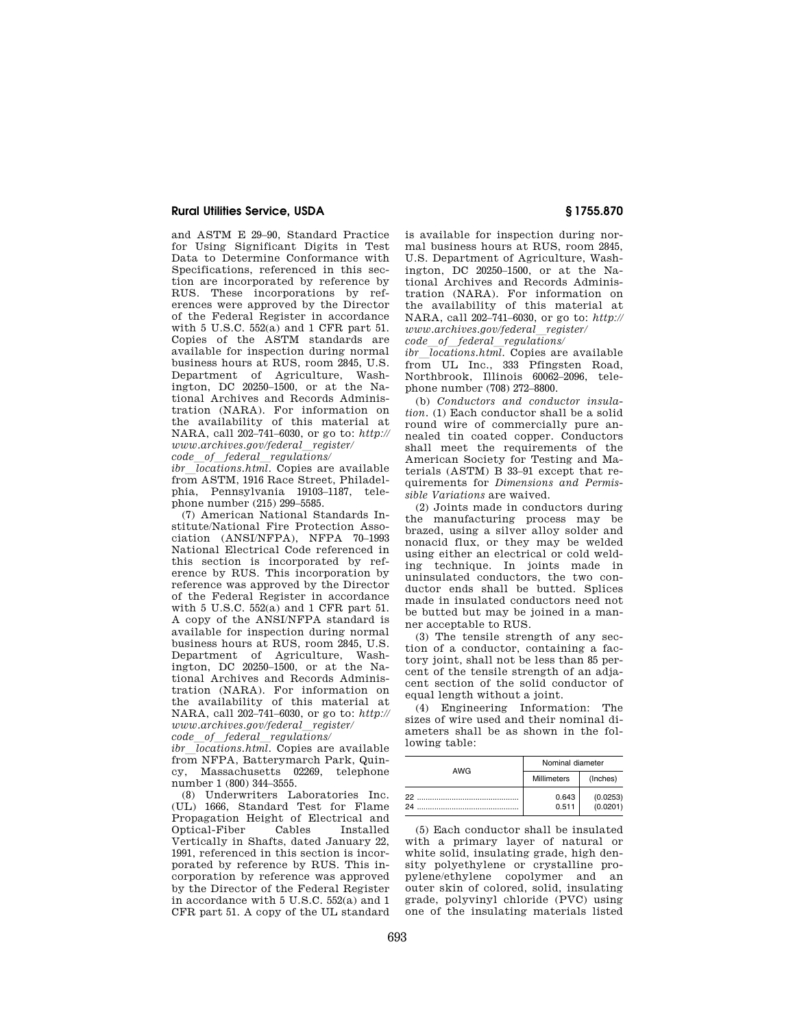and ASTM E 29–90, Standard Practice for Using Significant Digits in Test Data to Determine Conformance with Specifications, referenced in this section are incorporated by reference by RUS. These incorporations by references were approved by the Director of the Federal Register in accordance with 5 U.S.C. 552(a) and 1 CFR part 51. Copies of the ASTM standards are available for inspection during normal business hours at RUS, room 2845, U.S. Department of Agriculture, Washington, DC 20250–1500, or at the National Archives and Records Administration (NARA). For information on the availability of this material at NARA, call 202–741–6030, or go to: *http:// www.archives.gov/federal*l*register/ code*l*of*l*federal*l*regulations/* 

 $\overline{1}$ *locations.html.* Copies are available from ASTM, 1916 Race Street, Philadelphia, Pennsylvania 19103–1187, telephone number (215) 299–5585.

(7) American National Standards Institute/National Fire Protection Association (ANSI/NFPA), NFPA 70–1993 National Electrical Code referenced in this section is incorporated by reference by RUS. This incorporation by reference was approved by the Director of the Federal Register in accordance with 5 U.S.C. 552(a) and 1 CFR part 51. A copy of the ANSI/NFPA standard is available for inspection during normal business hours at RUS, room 2845, U.S. Department of Agriculture, Washington, DC 20250–1500, or at the National Archives and Records Administration (NARA). For information on the availability of this material at NARA, call 202–741–6030, or go to: *http:// www.archives.gov/federal*l*register/* 

*code*l*of*l*federal*l*regulations/* 

 $\overline{1}$ *locations.html.* Copies are available from NFPA, Batterymarch Park, Quincy, Massachusetts 02269, telephone number 1 (800) 344–3555.

(8) Underwriters Laboratories Inc. (UL) 1666, Standard Test for Flame Propagation Height of Electrical and  $Ontical-Fiher$ Vertically in Shafts, dated January 22, 1991, referenced in this section is incorporated by reference by RUS. This incorporation by reference was approved by the Director of the Federal Register in accordance with 5 U.S.C. 552(a) and 1 CFR part 51. A copy of the UL standard is available for inspection during normal business hours at RUS, room 2845, U.S. Department of Agriculture, Washington, DC 20250–1500, or at the National Archives and Records Administration (NARA). For information on the availability of this material at NARA, call 202–741–6030, or go to: *http:// www.archives.gov/federal*l*register/* 

*code*l*of*l*federal*l*regulations/* 

*ibr locations.html.* Copies are available from UL Inc., 333 Pfingsten Road, Northbrook, Illinois 60062–2096, telephone number (708) 272–8800.

(b) *Conductors and conductor insulation.* (1) Each conductor shall be a solid round wire of commercially pure annealed tin coated copper. Conductors shall meet the requirements of the American Society for Testing and Materials (ASTM) B 33–91 except that requirements for *Dimensions and Permissible Variations* are waived.

(2) Joints made in conductors during the manufacturing process may be brazed, using a silver alloy solder and nonacid flux, or they may be welded using either an electrical or cold welding technique. In joints made in uninsulated conductors, the two conductor ends shall be butted. Splices made in insulated conductors need not be butted but may be joined in a manner acceptable to RUS.

(3) The tensile strength of any section of a conductor, containing a factory joint, shall not be less than 85 percent of the tensile strength of an adjacent section of the solid conductor of equal length without a joint.

(4) Engineering Information: The sizes of wire used and their nominal diameters shall be as shown in the following table:

| AWG | Nominal diameter |                      |
|-----|------------------|----------------------|
|     | Millimeters      | (Inches)             |
| 22  | 0.643<br>0.511   | (0.0253)<br>(0.0201) |

(5) Each conductor shall be insulated with a primary layer of natural or white solid, insulating grade, high density polyethylene or crystalline propylene/ethylene copolymer and an outer skin of colored, solid, insulating grade, polyvinyl chloride (PVC) using one of the insulating materials listed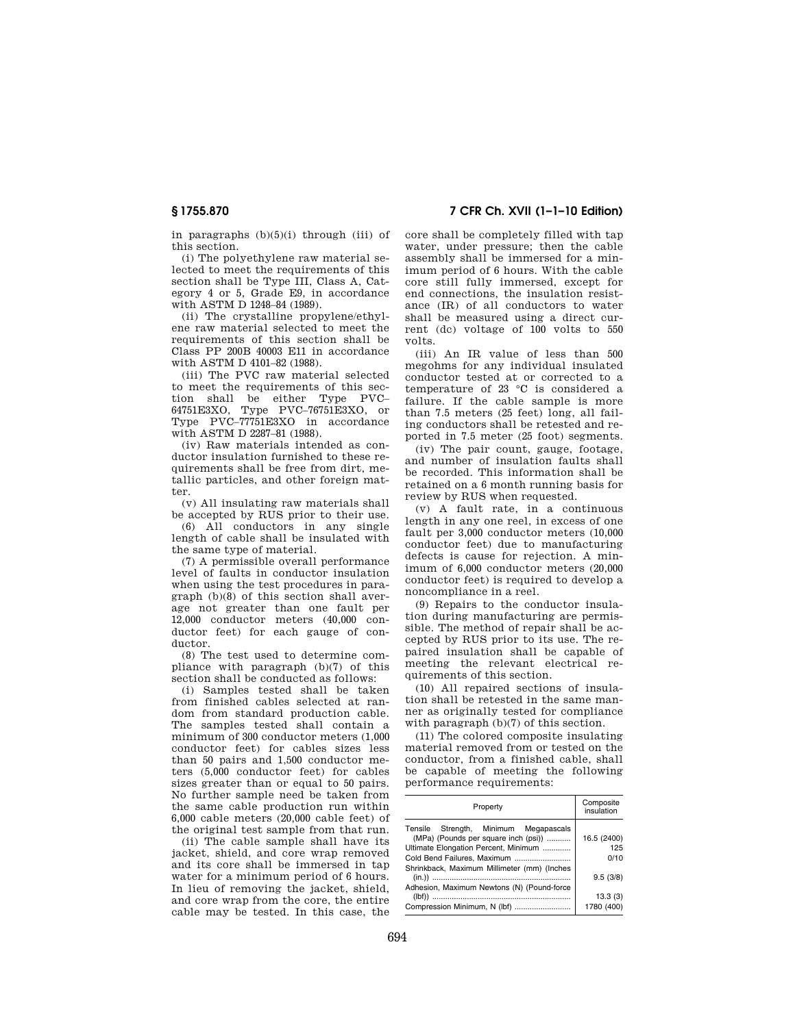**§ 1755.870 7 CFR Ch. XVII (1–1–10 Edition)** 

in paragraphs (b)(5)(i) through (iii) of this section.

(i) The polyethylene raw material selected to meet the requirements of this section shall be Type III, Class A, Category 4 or 5, Grade E9, in accordance with ASTM D 1248–84 (1989).

(ii) The crystalline propylene/ethylene raw material selected to meet the requirements of this section shall be Class PP 200B 40003 E11 in accordance with ASTM D 4101–82 (1988).

(iii) The PVC raw material selected to meet the requirements of this section shall be either Type PVC– 64751E3XO, Type PVC–76751E3XO, or Type PVC–77751E3XO in accordance with ASTM D 2287–81 (1988).

(iv) Raw materials intended as conductor insulation furnished to these requirements shall be free from dirt, metallic particles, and other foreign matter.

(v) All insulating raw materials shall be accepted by RUS prior to their use.

(6) All conductors in any single length of cable shall be insulated with the same type of material.

(7) A permissible overall performance level of faults in conductor insulation when using the test procedures in paragraph (b)(8) of this section shall average not greater than one fault per 12,000 conductor meters (40,000 conductor feet) for each gauge of conductor.

(8) The test used to determine compliance with paragraph (b)(7) of this section shall be conducted as follows:

(i) Samples tested shall be taken from finished cables selected at random from standard production cable. The samples tested shall contain a minimum of 300 conductor meters (1,000 conductor feet) for cables sizes less than 50 pairs and 1,500 conductor meters (5,000 conductor feet) for cables sizes greater than or equal to 50 pairs. No further sample need be taken from the same cable production run within 6,000 cable meters (20,000 cable feet) of the original test sample from that run.

(ii) The cable sample shall have its jacket, shield, and core wrap removed and its core shall be immersed in tap water for a minimum period of 6 hours. In lieu of removing the jacket, shield, and core wrap from the core, the entire cable may be tested. In this case, the core shall be completely filled with tap water, under pressure; then the cable assembly shall be immersed for a minimum period of 6 hours. With the cable core still fully immersed, except for end connections, the insulation resistance (IR) of all conductors to water shall be measured using a direct current (dc) voltage of 100 volts to 550 volts.

(iii) An IR value of less than 500 megohms for any individual insulated conductor tested at or corrected to a temperature of 23 °C is considered a failure. If the cable sample is more than 7.5 meters (25 feet) long, all failing conductors shall be retested and reported in 7.5 meter (25 foot) segments.

(iv) The pair count, gauge, footage, and number of insulation faults shall be recorded. This information shall be retained on a 6 month running basis for review by RUS when requested.

(v) A fault rate, in a continuous length in any one reel, in excess of one fault per 3,000 conductor meters (10,000 conductor feet) due to manufacturing defects is cause for rejection. A minimum of 6,000 conductor meters (20,000 conductor feet) is required to develop a noncompliance in a reel.

(9) Repairs to the conductor insulation during manufacturing are permissible. The method of repair shall be accepted by RUS prior to its use. The repaired insulation shall be capable of meeting the relevant electrical requirements of this section.

(10) All repaired sections of insulation shall be retested in the same manner as originally tested for compliance with paragraph (b)(7) of this section.

(11) The colored composite insulating material removed from or tested on the conductor, from a finished cable, shall be capable of meeting the following performance requirements:

| Property                                                                      | Composite<br>insulation |
|-------------------------------------------------------------------------------|-------------------------|
| Tensile Strength, Minimum Megapascals<br>(MPa) (Pounds per square inch (psi)) | 16.5 (2400)             |
| Ultimate Elongation Percent, Minimum                                          | 125                     |
| Cold Bend Failures, Maximum                                                   | 0/10                    |
| Shrinkback, Maximum Millimeter (mm) (Inches                                   |                         |
|                                                                               | 9.5(3/8)                |
| Adhesion, Maximum Newtons (N) (Pound-force                                    |                         |
|                                                                               | 13.3(3)                 |
| Compression Minimum, N (lbf)                                                  | 1780 (400)              |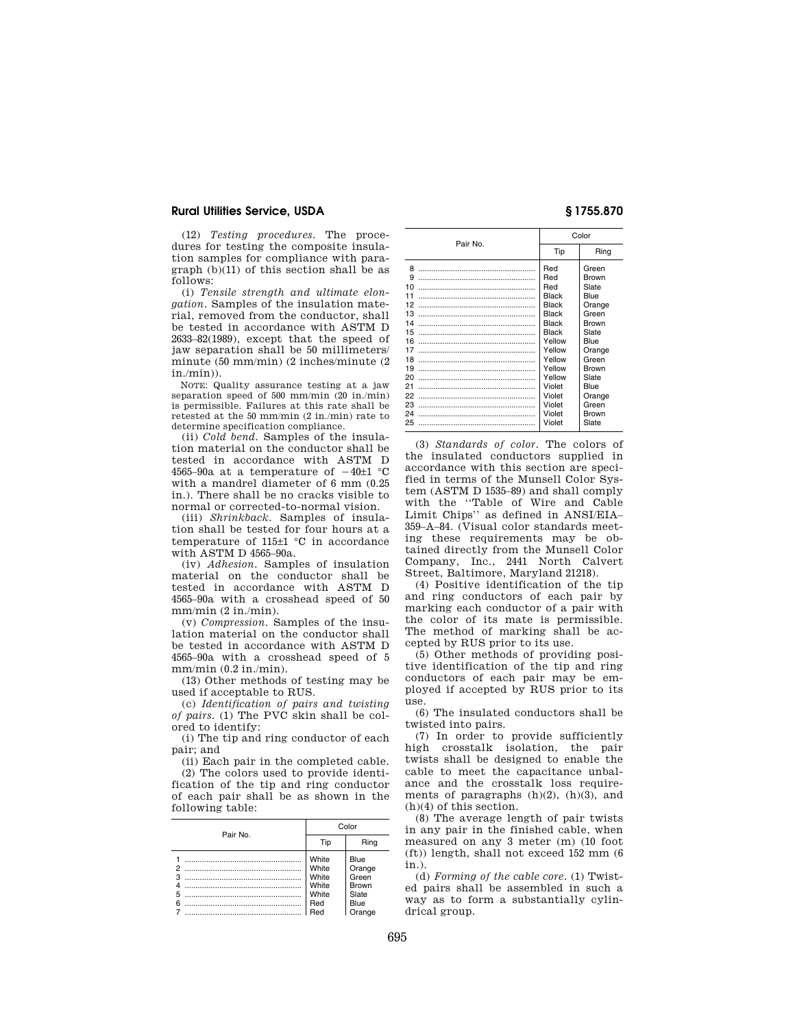(12) *Testing procedures.* The procedures for testing the composite insulation samples for compliance with paragraph (b)(11) of this section shall be as follows:

(i) *Tensile strength and ultimate elongation.* Samples of the insulation material, removed from the conductor, shall be tested in accordance with ASTM D 2633–82(1989), except that the speed of jaw separation shall be 50 millimeters/ minute (50 mm/min) (2 inches/minute (2 in./min)).

NOTE: Quality assurance testing at a jaw separation speed of 500 mm/min (20 in./min) is permissible. Failures at this rate shall be retested at the 50 mm/min (2 in./min) rate to determine specification compliance.

(ii) *Cold bend.* Samples of the insulation material on the conductor shall be tested in accordance with ASTM D 4565–90a at a temperature of  $-40\pm1$  °C with a mandrel diameter of 6 mm (0.25 in.). There shall be no cracks visible to normal or corrected-to-normal vision.

(iii) *Shrinkback.* Samples of insulation shall be tested for four hours at a temperature of 115±1 °C in accordance with ASTM D 4565–90a.

(iv) *Adhesion.* Samples of insulation material on the conductor shall be tested in accordance with ASTM D 4565–90a with a crosshead speed of 50 mm/min (2 in./min).

(v) *Compression.* Samples of the insulation material on the conductor shall be tested in accordance with ASTM D 4565–90a with a crosshead speed of 5 mm/min (0.2 in./min).

(13) Other methods of testing may be used if acceptable to RUS.

(c) *Identification of pairs and twisting of pairs.* (1) The PVC skin shall be colored to identify:

(i) The tip and ring conductor of each pair; and

(ii) Each pair in the completed cable.

(2) The colors used to provide identification of the tip and ring conductor of each pair shall be as shown in the following table:

| Pair No.                      | Color                                     |                                                  |
|-------------------------------|-------------------------------------------|--------------------------------------------------|
|                               | Tip                                       | Ring                                             |
| $\overline{2}$<br>3<br>Δ<br>5 | White<br>White<br>White<br>White<br>White | Blue<br>Orange<br>Green<br><b>Brown</b><br>Slate |
| 6                             | Red<br>Red                                | Blue<br>Orange                                   |

| Pair No.                                                                                               | Color                                                                                                                                                                                                 |                                                                                                                                                                |
|--------------------------------------------------------------------------------------------------------|-------------------------------------------------------------------------------------------------------------------------------------------------------------------------------------------------------|----------------------------------------------------------------------------------------------------------------------------------------------------------------|
|                                                                                                        | Tip                                                                                                                                                                                                   | Ring                                                                                                                                                           |
| 8<br>9<br>10<br>11<br>12<br>13<br>14<br>15<br>16<br>17<br>18<br>19<br>20<br>21<br>22<br>23<br>24<br>25 | Red<br>Red<br>Red<br><b>Black</b><br><b>Black</b><br><b>Black</b><br><b>Black</b><br><b>Black</b><br>Yellow<br>Yellow<br>Yellow<br>Yellow<br>Yellow<br>Violet<br>Violet<br>Violet<br>Violet<br>Violet | Green<br>Brown<br>Slate<br>Blue<br>Orange<br>Green<br>Brown<br>Slate<br>Blue<br>Orange<br>Green<br>Brown<br>Slate<br>Blue<br>Orange<br>Green<br>Brown<br>Slate |
|                                                                                                        |                                                                                                                                                                                                       |                                                                                                                                                                |

(3) *Standards of color.* The colors of the insulated conductors supplied in accordance with this section are specified in terms of the Munsell Color System (ASTM D 1535–89) and shall comply with the ''Table of Wire and Cable Limit Chips'' as defined in ANSI/EIA– 359–A–84. (Visual color standards meeting these requirements may be obtained directly from the Munsell Color Company, Inc., 2441 North Calvert Street, Baltimore, Maryland 21218).

(4) Positive identification of the tip and ring conductors of each pair by marking each conductor of a pair with the color of its mate is permissible. The method of marking shall be accepted by RUS prior to its use.

(5) Other methods of providing positive identification of the tip and ring conductors of each pair may be employed if accepted by RUS prior to its use.

(6) The insulated conductors shall be twisted into pairs.

(7) In order to provide sufficiently high crosstalk isolation, the pair twists shall be designed to enable the cable to meet the capacitance unbalance and the crosstalk loss requirements of paragraphs  $(h)(2)$ ,  $(h)(3)$ , and (h)(4) of this section.

(8) The average length of pair twists in any pair in the finished cable, when measured on any 3 meter (m) (10 foot (ft)) length, shall not exceed 152 mm (6 in.).

(d) *Forming of the cable core.* (1) Twisted pairs shall be assembled in such a way as to form a substantially cylindrical group.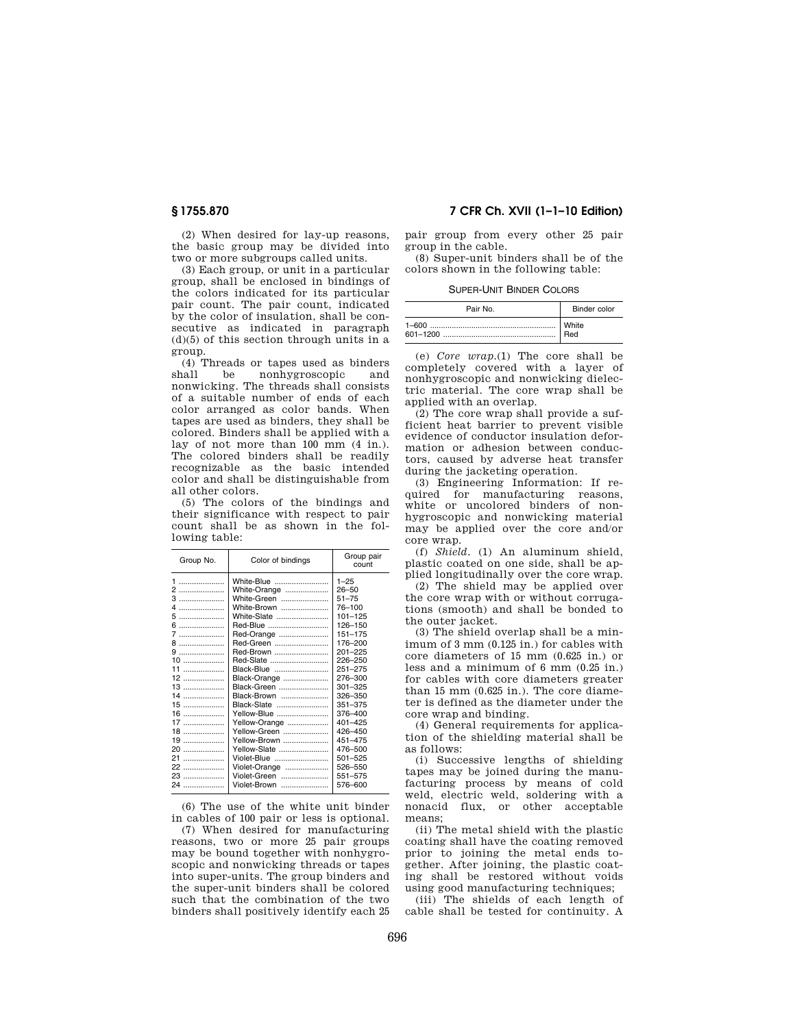(2) When desired for lay-up reasons, the basic group may be divided into two or more subgroups called units.

(3) Each group, or unit in a particular group, shall be enclosed in bindings of the colors indicated for its particular pair count. The pair count, indicated by the color of insulation, shall be consecutive as indicated in paragraph  $(d)(5)$  of this section through units in a group.

(4) Threads or tapes used as binders shall be nonhygroscopic and nonwicking. The threads shall consists of a suitable number of ends of each color arranged as color bands. When tapes are used as binders, they shall be colored. Binders shall be applied with a lay of not more than 100 mm (4 in.). The colored binders shall be readily recognizable as the basic intended color and shall be distinguishable from all other colors.

(5) The colors of the bindings and their significance with respect to pair count shall be as shown in the following table:

| Group No. | Color of bindings    | Group pair<br>count |
|-----------|----------------------|---------------------|
| 1         | White-Blue           | $1 - 25$            |
| 2         | White-Orange         | $26 - 50$           |
| 3         | White-Green          | $51 - 75$           |
| 4         | White-Brown          | 76-100              |
| 5         | White-Slate          | 101-125             |
| 6         | Red-Blue             | 126-150             |
| 7         | Red-Orange           | 151-175             |
| 8         | Red-Green            | 176-200             |
|           | Red-Brown            | $201 - 225$         |
| $10$      | Red-Slate            | 226-250             |
| 11        | Black-Blue           | $251 - 275$         |
| $12$      | Black-Orange         | 276-300             |
| $13$      | Black-Green          | $301 - 325$         |
| 14        | Black-Brown          | 326-350             |
| $15$      | Black-Slate          | 351-375             |
| $16$      | <b>Yellow-Blue</b>   | 376-400             |
| $17$      | Yellow-Orange        | 401-425             |
| $18$      | Yellow-Green         | 426-450             |
| 19        | Yellow-Brown         | 451-475             |
| $20$      | Yellow-Slate         | 476-500             |
| 21        | Violet-Blue          | $501 - 525$         |
| 22        | Violet-Orange        | 526-550             |
| 23        | Violet-Green         | 551-575             |
| 24        | <u> Violet-Brown</u> | 576-600             |

(6) The use of the white unit binder in cables of 100 pair or less is optional.

(7) When desired for manufacturing reasons, two or more 25 pair groups may be bound together with nonhygroscopic and nonwicking threads or tapes into super-units. The group binders and the super-unit binders shall be colored such that the combination of the two binders shall positively identify each 25

**§ 1755.870 7 CFR Ch. XVII (1–1–10 Edition)** 

pair group from every other 25 pair group in the cable.

(8) Super-unit binders shall be of the colors shown in the following table:

SUPER-UNIT BINDER COLORS

| Pair No. | Binder color |
|----------|--------------|
|          | White        |
|          | Red          |

(e) *Core wrap.*(1) The core shall be completely covered with a layer of nonhygroscopic and nonwicking dielectric material. The core wrap shall be applied with an overlap.

(2) The core wrap shall provide a sufficient heat barrier to prevent visible evidence of conductor insulation deformation or adhesion between conductors, caused by adverse heat transfer during the jacketing operation.

(3) Engineering Information: If required for manufacturing reasons, white or uncolored binders of nonhygroscopic and nonwicking material may be applied over the core and/or core wrap.

(f) *Shield.* (1) An aluminum shield, plastic coated on one side, shall be applied longitudinally over the core wrap.

(2) The shield may be applied over the core wrap with or without corrugations (smooth) and shall be bonded to the outer jacket.

(3) The shield overlap shall be a minimum of 3 mm (0.125 in.) for cables with core diameters of 15 mm (0.625 in.) or less and a minimum of 6 mm (0.25 in.) for cables with core diameters greater than 15 mm (0.625 in.). The core diameter is defined as the diameter under the core wrap and binding.

(4) General requirements for application of the shielding material shall be as follows:

(i) Successive lengths of shielding tapes may be joined during the manufacturing process by means of cold weld, electric weld, soldering with a nonacid flux, or other acceptable means;

(ii) The metal shield with the plastic coating shall have the coating removed prior to joining the metal ends together. After joining, the plastic coating shall be restored without voids using good manufacturing techniques;

(iii) The shields of each length of cable shall be tested for continuity. A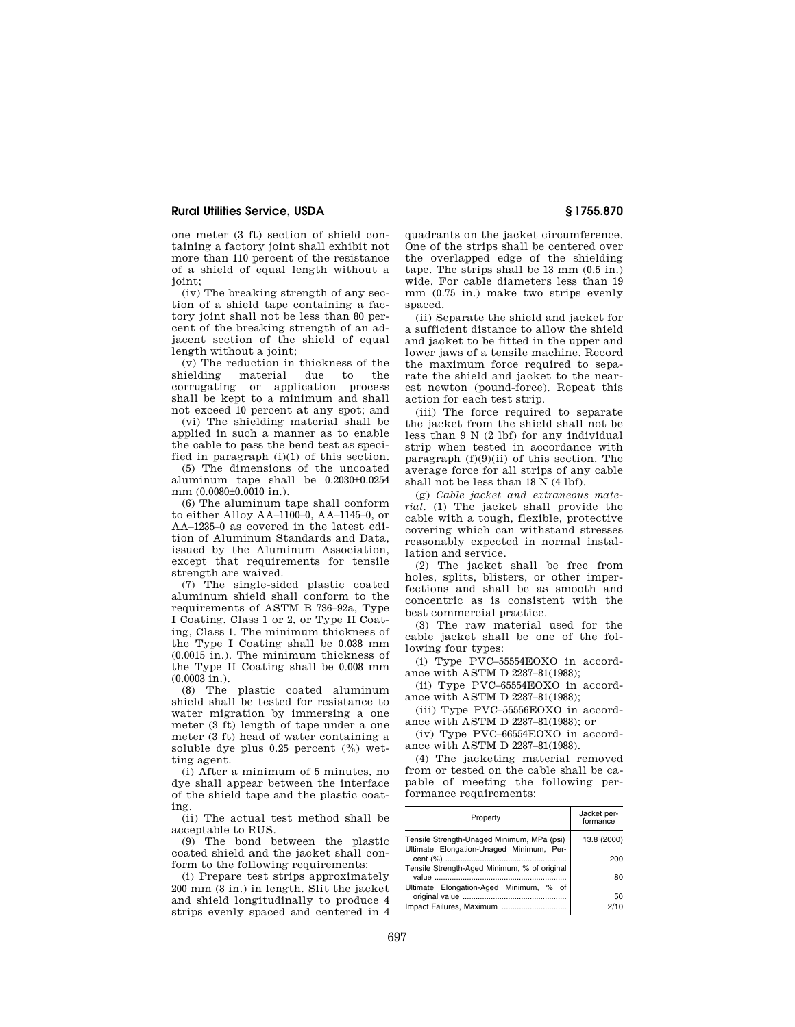one meter (3 ft) section of shield containing a factory joint shall exhibit not more than 110 percent of the resistance of a shield of equal length without a joint;

(iv) The breaking strength of any section of a shield tape containing a factory joint shall not be less than 80 percent of the breaking strength of an adjacent section of the shield of equal length without a joint;

(v) The reduction in thickness of the shielding material due to the corrugating or application process shall be kept to a minimum and shall not exceed 10 percent at any spot; and

(vi) The shielding material shall be applied in such a manner as to enable the cable to pass the bend test as specified in paragraph (i)(1) of this section.

(5) The dimensions of the uncoated aluminum tape shall be 0.2030±0.0254 mm (0.0080±0.0010 in.).

(6) The aluminum tape shall conform to either Alloy AA–1100–0, AA–1145–0, or AA–1235–0 as covered in the latest edition of Aluminum Standards and Data, issued by the Aluminum Association, except that requirements for tensile strength are waived.

(7) The single-sided plastic coated aluminum shield shall conform to the requirements of ASTM B 736–92a, Type I Coating, Class 1 or 2, or Type II Coating, Class 1. The minimum thickness of the Type I Coating shall be 0.038 mm (0.0015 in.). The minimum thickness of the Type II Coating shall be 0.008 mm (0.0003 in.).

(8) The plastic coated aluminum shield shall be tested for resistance to water migration by immersing a one meter (3 ft) length of tape under a one meter (3 ft) head of water containing a soluble dye plus  $0.25$  percent  $(\%)$  wetting agent.

(i) After a minimum of 5 minutes, no dye shall appear between the interface of the shield tape and the plastic coating.

(ii) The actual test method shall be acceptable to RUS.

(9) The bond between the plastic coated shield and the jacket shall conform to the following requirements:

(i) Prepare test strips approximately 200 mm (8 in.) in length. Slit the jacket and shield longitudinally to produce 4 strips evenly spaced and centered in 4

quadrants on the jacket circumference. One of the strips shall be centered over the overlapped edge of the shielding tape. The strips shall be 13 mm (0.5 in.) wide. For cable diameters less than 19 mm (0.75 in.) make two strips evenly spaced.

(ii) Separate the shield and jacket for a sufficient distance to allow the shield and jacket to be fitted in the upper and lower jaws of a tensile machine. Record the maximum force required to separate the shield and jacket to the nearest newton (pound-force). Repeat this action for each test strip.

(iii) The force required to separate the jacket from the shield shall not be less than 9 N (2 lbf) for any individual strip when tested in accordance with paragraph  $(f)(9)(ii)$  of this section. The average force for all strips of any cable shall not be less than 18 N (4 lbf).

(g) *Cable jacket and extraneous material.* (1) The jacket shall provide the cable with a tough, flexible, protective covering which can withstand stresses reasonably expected in normal installation and service.

(2) The jacket shall be free from holes, splits, blisters, or other imperfections and shall be as smooth and concentric as is consistent with the best commercial practice.

(3) The raw material used for the cable jacket shall be one of the following four types:

(i) Type PVC–55554EOXO in accordance with ASTM D 2287–81(1988);

(ii) Type PVC–65554EOXO in accordance with ASTM D 2287–81(1988);

(iii) Type PVC–55556EOXO in accordance with ASTM D 2287–81(1988); or

(iv) Type PVC–66554EOXO in accordance with ASTM D 2287–81(1988).

(4) The jacketing material removed from or tested on the cable shall be capable of meeting the following performance requirements:

| Property                                     | Jacket per-<br>formance |
|----------------------------------------------|-------------------------|
| Tensile Strength-Unaged Minimum, MPa (psi)   | 13.8 (2000)             |
| Ultimate Elongation-Unaged Minimum, Per-     | 200                     |
| Tensile Strength-Aged Minimum, % of original | 80                      |
| Ultimate Elongation-Aged Minimum, % of       | 50                      |
| Impact Failures, Maximum                     | 2/10                    |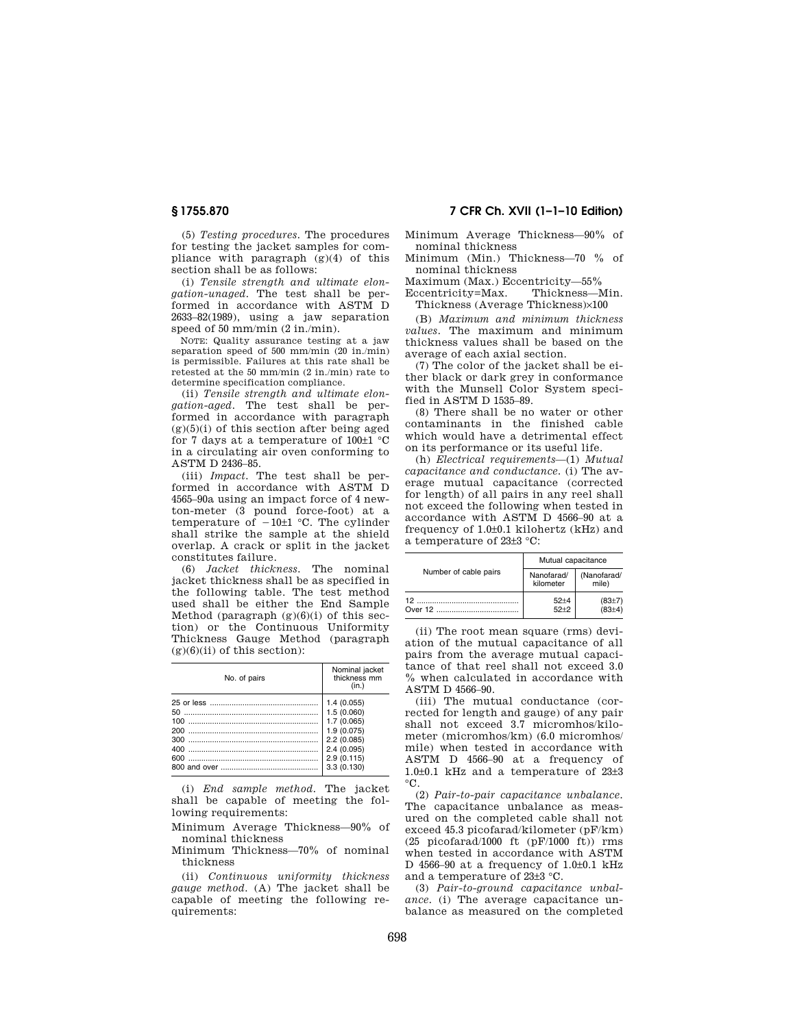**§ 1755.870 7 CFR Ch. XVII (1–1–10 Edition)** 

(5) *Testing procedures.* The procedures for testing the jacket samples for compliance with paragraph  $(g)(4)$  of this section shall be as follows:

(i) *Tensile strength and ultimate elongation-unaged.* The test shall be performed in accordance with ASTM D 2633–82(1989), using a jaw separation speed of 50 mm/min (2 in./min).

NOTE: Quality assurance testing at a jaw separation speed of 500 mm/min (20 in./min) is permissible. Failures at this rate shall be retested at the 50 mm/min (2 in./min) rate to determine specification compliance.

(ii) *Tensile strength and ultimate elongation-aged.* The test shall be performed in accordance with paragraph  $(g)(5)(i)$  of this section after being aged for 7 days at a temperature of 100 $\pm$ 1 °C in a circulating air oven conforming to ASTM D 2436–85.

(iii) *Impact.* The test shall be performed in accordance with ASTM D 4565–90a using an impact force of 4 newton-meter (3 pound force-foot) at a temperature of  $-10\pm1$  °C. The cylinder shall strike the sample at the shield overlap. A crack or split in the jacket constitutes failure.

(6) *Jacket thickness.* The nominal jacket thickness shall be as specified in the following table. The test method used shall be either the End Sample Method (paragraph  $(g)(6)(i)$  of this section) or the Continuous Uniformity Thickness Gauge Method (paragraph  $(g)(6)(ii)$  of this section):

| No. of pairs | Nominal jacket<br>thickness mm<br>(in.) |
|--------------|-----------------------------------------|
|              | 1.4(0.055)                              |
|              | 1.5(0.060)                              |
|              | 1.7(0.065)                              |
|              | 1.9 (0.075)                             |
|              | 2.2(0.085)                              |
|              | 2.4(0.095)                              |
| 600          | 2.9(0.115)                              |
|              | 3.3(0.130)                              |

(i) *End sample method.* The jacket shall be capable of meeting the following requirements:

Minimum Average Thickness—90% of nominal thickness

Minimum Thickness—70% of nominal thickness

(ii) *Continuous uniformity thickness gauge method.* (A) The jacket shall be capable of meeting the following requirements:

Minimum Average Thickness—90% of nominal thickness

Minimum (Min.) Thickness—70 % of nominal thickness

Maximum (Max.) Eccentricity—55%

Eccentricity=Max. Thickness—Min. Thickness (Average Thickness)×100

(B) *Maximum and minimum thickness values.* The maximum and minimum thickness values shall be based on the average of each axial section.

(7) The color of the jacket shall be either black or dark grey in conformance with the Munsell Color System specified in ASTM D 1535–89.

(8) There shall be no water or other contaminants in the finished cable which would have a detrimental effect on its performance or its useful life.

(h) *Electrical requirements*—(1) *Mutual capacitance and conductance.* (i) The average mutual capacitance (corrected for length) of all pairs in any reel shall not exceed the following when tested in accordance with ASTM D 4566–90 at a frequency of 1.0±0.1 kilohertz (kHz) and a temperature of 23±3 °C:

|                       | Mutual capacitance      |                      |
|-----------------------|-------------------------|----------------------|
| Number of cable pairs | Nanofarad/<br>kilometer | (Nanofarad/<br>mile) |
| 12<br>Over 12         | $52+4$<br>$52+2$        | (83±7)<br>$(83 + 4)$ |

(ii) The root mean square (rms) deviation of the mutual capacitance of all pairs from the average mutual capacitance of that reel shall not exceed 3.0 % when calculated in accordance with ASTM D 4566–90.

(iii) The mutual conductance (corrected for length and gauge) of any pair shall not exceed 3.7 micromhos/kilometer (micromhos/km) (6.0 micromhos/ mile) when tested in accordance with ASTM D 4566–90 at a frequency of 1.0±0.1 kHz and a temperature of 23±3  $^{\circ}$ C.

(2) *Pair-to-pair capacitance unbalance.*  The capacitance unbalance as measured on the completed cable shall not exceed 45.3 picofarad/kilometer (pF/km) (25 picofarad/1000 ft (pF/1000 ft)) rms when tested in accordance with ASTM D 4566–90 at a frequency of 1.0±0.1 kHz and a temperature of 23±3 °C.

(3) *Pair-to-ground capacitance unbalance.* (i) The average capacitance unbalance as measured on the completed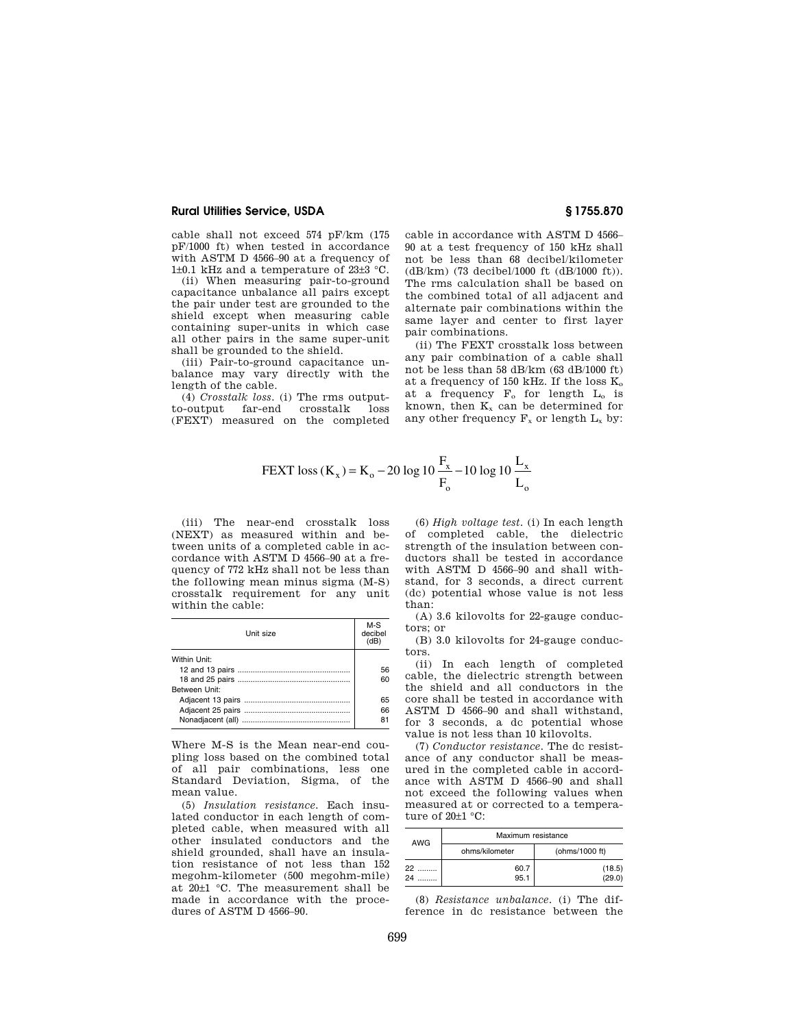cable shall not exceed 574 pF/km (175 pF/1000 ft) when tested in accordance with ASTM D 4566–90 at a frequency of 1±0.1 kHz and a temperature of 23±3 °C.

(ii) When measuring pair-to-ground capacitance unbalance all pairs except the pair under test are grounded to the shield except when measuring cable containing super-units in which case all other pairs in the same super-unit shall be grounded to the shield.

(iii) Pair-to-ground capacitance unbalance may vary directly with the length of the cable.

(4) *Crosstalk loss.* (i) The rms outputto-output far-end crosstalk loss (FEXT) measured on the completed cable in accordance with ASTM D 4566– 90 at a test frequency of 150 kHz shall not be less than 68 decibel/kilometer (dB/km) (73 decibel/1000 ft (dB/1000 ft)). The rms calculation shall be based on the combined total of all adjacent and alternate pair combinations within the same layer and center to first layer pair combinations.

(ii) The FEXT crosstalk loss between any pair combination of a cable shall not be less than 58 dB/km (63 dB/1000 ft) at a frequency of 150 kHz. If the loss  $K_0$ at a frequency  $F_0$  for length  $L_0$  is known, then  $K_x$  can be determined for any other frequency  $F_x$  or length  $L_x$  by:

FEXT loss (K<sub>x</sub>) = K<sub>o</sub> - 20 log 10 
$$
\frac{F_x}{F_o}
$$
 - 10 log 10  $\frac{L_x}{L_o}$ 

(iii) The near-end crosstalk loss (NEXT) as measured within and between units of a completed cable in accordance with ASTM D 4566–90 at a frequency of 772 kHz shall not be less than the following mean minus sigma (M-S) crosstalk requirement for any unit within the cable:

| Unit size     | $M-S$<br>decibel<br>(dB) |
|---------------|--------------------------|
| Within Unit:  |                          |
|               | 56                       |
|               | 60                       |
| Between Unit: |                          |
|               | 65                       |
|               | 66                       |
|               | 81                       |

Where M-S is the Mean near-end coupling loss based on the combined total of all pair combinations, less one Standard Deviation, Sigma, of the mean value.

(5) *Insulation resistance.* Each insulated conductor in each length of completed cable, when measured with all other insulated conductors and the shield grounded, shall have an insulation resistance of not less than 152 megohm-kilometer (500 megohm-mile) at 20±1 °C. The measurement shall be made in accordance with the procedures of ASTM D 4566–90.

(6) *High voltage test.* (i) In each length of completed cable, the dielectric strength of the insulation between conductors shall be tested in accordance with ASTM D 4566–90 and shall withstand, for 3 seconds, a direct current (dc) potential whose value is not less than:

(A) 3.6 kilovolts for 22-gauge conductors; or

(B) 3.0 kilovolts for 24-gauge conductors.

(ii) In each length of completed cable, the dielectric strength between the shield and all conductors in the core shall be tested in accordance with ASTM D 4566–90 and shall withstand, for 3 seconds, a dc potential whose value is not less than 10 kilovolts.

(7) *Conductor resistance.* The dc resistance of any conductor shall be measured in the completed cable in accordance with ASTM D 4566–90 and shall not exceed the following values when measured at or corrected to a temperature of  $20+1$  °C:

| AWG      | Maximum resistance |                  |
|----------|--------------------|------------------|
|          | ohms/kilometer     | (ohms/1000 ft)   |
| 22<br>24 | 60.7<br>95.1       | (18.5)<br>(29.0) |

(8) *Resistance unbalance.* (i) The difference in dc resistance between the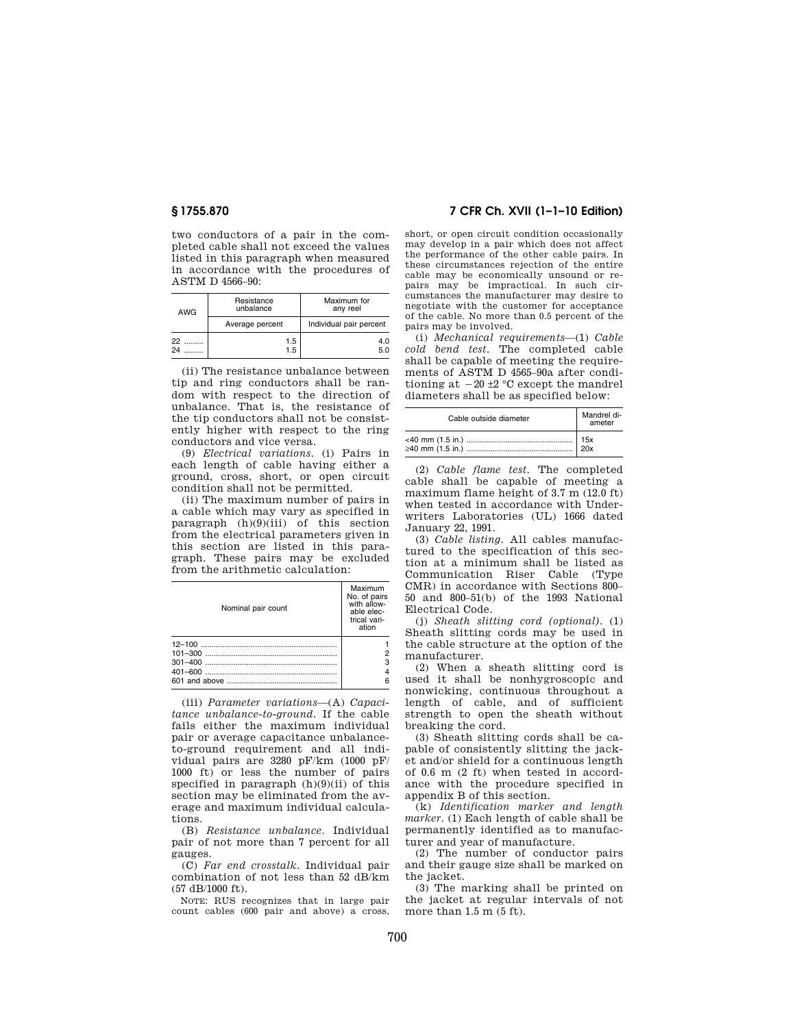two conductors of a pair in the completed cable shall not exceed the values listed in this paragraph when measured in accordance with the procedures of ASTM D 4566–90:

| AWG | Resistance<br>unbalance | Maximum for<br>any reel |
|-----|-------------------------|-------------------------|
|     | Average percent         | Individual pair percent |
| 22  | 1.5                     | 4.0                     |
| 24  | 1.5                     | 5.0                     |

(ii) The resistance unbalance between tip and ring conductors shall be random with respect to the direction of unbalance. That is, the resistance of the tip conductors shall not be consistently higher with respect to the ring conductors and vice versa.

(9) *Electrical variations.* (i) Pairs in each length of cable having either a ground, cross, short, or open circuit condition shall not be permitted.

(ii) The maximum number of pairs in a cable which may vary as specified in paragraph  $(h)(9)(iii)$  of this section from the electrical parameters given in this section are listed in this paragraph. These pairs may be excluded from the arithmetic calculation:

| Nominal pair count | Maximum<br>No. of pairs<br>with allow-<br>able elec-<br>trical vari-<br>ation |  |
|--------------------|-------------------------------------------------------------------------------|--|
|                    |                                                                               |  |
|                    |                                                                               |  |
|                    | з                                                                             |  |
| $401 - 600$        |                                                                               |  |
|                    | հ                                                                             |  |

(iii) *Parameter variations*—(A) *Capacitance unbalance-to-ground.* If the cable fails either the maximum individual pair or average capacitance unbalanceto-ground requirement and all individual pairs are 3280 pF/km (1000 pF/ 1000 ft) or less the number of pairs specified in paragraph  $(h)(9)(ii)$  of this section may be eliminated from the average and maximum individual calculations.

(B) *Resistance unbalance.* Individual pair of not more than 7 percent for all gauges.

(C) *Far end crosstalk.* Individual pair combination of not less than 52 dB/km (57 dB/1000 ft).

NOTE: RUS recognizes that in large pair count cables (600 pair and above) a cross,

# **§ 1755.870 7 CFR Ch. XVII (1–1–10 Edition)**

short, or open circuit condition occasionally may develop in a pair which does not affect the performance of the other cable pairs. In these circumstances rejection of the entire cable may be economically unsound or repairs may be impractical. In such circumstances the manufacturer may desire to negotiate with the customer for acceptance of the cable. No more than 0.5 percent of the pairs may be involved.

(i) *Mechanical requirements*—(1) *Cable cold bend test.* The completed cable shall be capable of meeting the requirements of ASTM D 4565–90a after conditioning at  $-20 \pm 2$  °C except the mandrel diameters shall be as specified below:

| Cable outside diameter | Mandrel di-<br>ameter |
|------------------------|-----------------------|
|                        |                       |

(2) *Cable flame test.* The completed cable shall be capable of meeting a maximum flame height of 3.7 m (12.0 ft) when tested in accordance with Underwriters Laboratories (UL) 1666 dated January 22, 1991.

(3) *Cable listing.* All cables manufactured to the specification of this section at a minimum shall be listed as Communication Riser Cable (Type CMR) in accordance with Sections 800– 50 and 800–51(b) of the 1993 National Electrical Code.

(j) *Sheath slitting cord (optional).* (1) Sheath slitting cords may be used in the cable structure at the option of the manufacturer.

(2) When a sheath slitting cord is used it shall be nonhygroscopic and nonwicking, continuous throughout a length of cable, and of sufficient strength to open the sheath without breaking the cord.

(3) Sheath slitting cords shall be capable of consistently slitting the jacket and/or shield for a continuous length of 0.6 m (2 ft) when tested in accordance with the procedure specified in appendix B of this section.

(k) *Identification marker and length marker.* (1) Each length of cable shall be permanently identified as to manufacturer and year of manufacture.

(2) The number of conductor pairs and their gauge size shall be marked on the jacket.

(3) The marking shall be printed on the jacket at regular intervals of not more than 1.5 m (5 ft).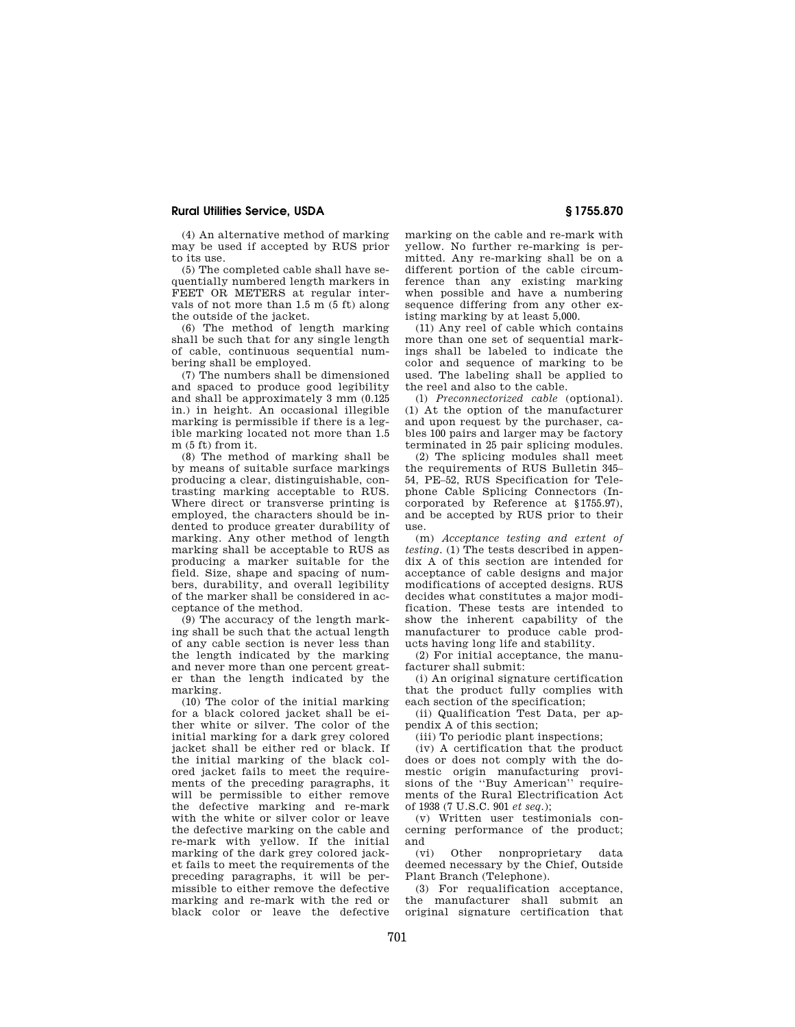(4) An alternative method of marking may be used if accepted by RUS prior to its use.

(5) The completed cable shall have sequentially numbered length markers in FEET OR METERS at regular intervals of not more than 1.5 m (5 ft) along the outside of the jacket.

(6) The method of length marking shall be such that for any single length of cable, continuous sequential numbering shall be employed.

(7) The numbers shall be dimensioned and spaced to produce good legibility and shall be approximately 3 mm (0.125 in.) in height. An occasional illegible marking is permissible if there is a legible marking located not more than 1.5 m (5 ft) from it.

(8) The method of marking shall be by means of suitable surface markings producing a clear, distinguishable, contrasting marking acceptable to RUS. Where direct or transverse printing is employed, the characters should be indented to produce greater durability of marking. Any other method of length marking shall be acceptable to RUS as producing a marker suitable for the field. Size, shape and spacing of numbers, durability, and overall legibility of the marker shall be considered in acceptance of the method.

(9) The accuracy of the length marking shall be such that the actual length of any cable section is never less than the length indicated by the marking and never more than one percent greater than the length indicated by the marking.

(10) The color of the initial marking for a black colored jacket shall be either white or silver. The color of the initial marking for a dark grey colored jacket shall be either red or black. If the initial marking of the black colored jacket fails to meet the requirements of the preceding paragraphs, it will be permissible to either remove the defective marking and re-mark with the white or silver color or leave the defective marking on the cable and re-mark with yellow. If the initial marking of the dark grey colored jacket fails to meet the requirements of the preceding paragraphs, it will be permissible to either remove the defective marking and re-mark with the red or black color or leave the defective

marking on the cable and re-mark with yellow. No further re-marking is permitted. Any re-marking shall be on a different portion of the cable circumference than any existing marking when possible and have a numbering sequence differing from any other existing marking by at least 5,000.

(11) Any reel of cable which contains more than one set of sequential markings shall be labeled to indicate the color and sequence of marking to be used. The labeling shall be applied to the reel and also to the cable.

(l) *Preconnectorized cable* (optional). (1) At the option of the manufacturer and upon request by the purchaser, cables 100 pairs and larger may be factory terminated in 25 pair splicing modules.

(2) The splicing modules shall meet the requirements of RUS Bulletin 345– 54, PE–52, RUS Specification for Telephone Cable Splicing Connectors (Incorporated by Reference at §1755.97), and be accepted by RUS prior to their use.

(m) *Acceptance testing and extent of testing.* (1) The tests described in appendix A of this section are intended for acceptance of cable designs and major modifications of accepted designs. RUS decides what constitutes a major modification. These tests are intended to show the inherent capability of the manufacturer to produce cable products having long life and stability.

(2) For initial acceptance, the manufacturer shall submit:

(i) An original signature certification that the product fully complies with each section of the specification;

(ii) Qualification Test Data, per appendix A of this section;

(iii) To periodic plant inspections;

(iv) A certification that the product does or does not comply with the domestic origin manufacturing provisions of the ''Buy American'' requirements of the Rural Electrification Act of 1938 (7 U.S.C. 901 *et seq.*);

(v) Written user testimonials concerning performance of the product; and

(vi) Other nonproprietary data deemed necessary by the Chief, Outside Plant Branch (Telephone).

(3) For requalification acceptance, the manufacturer shall submit an original signature certification that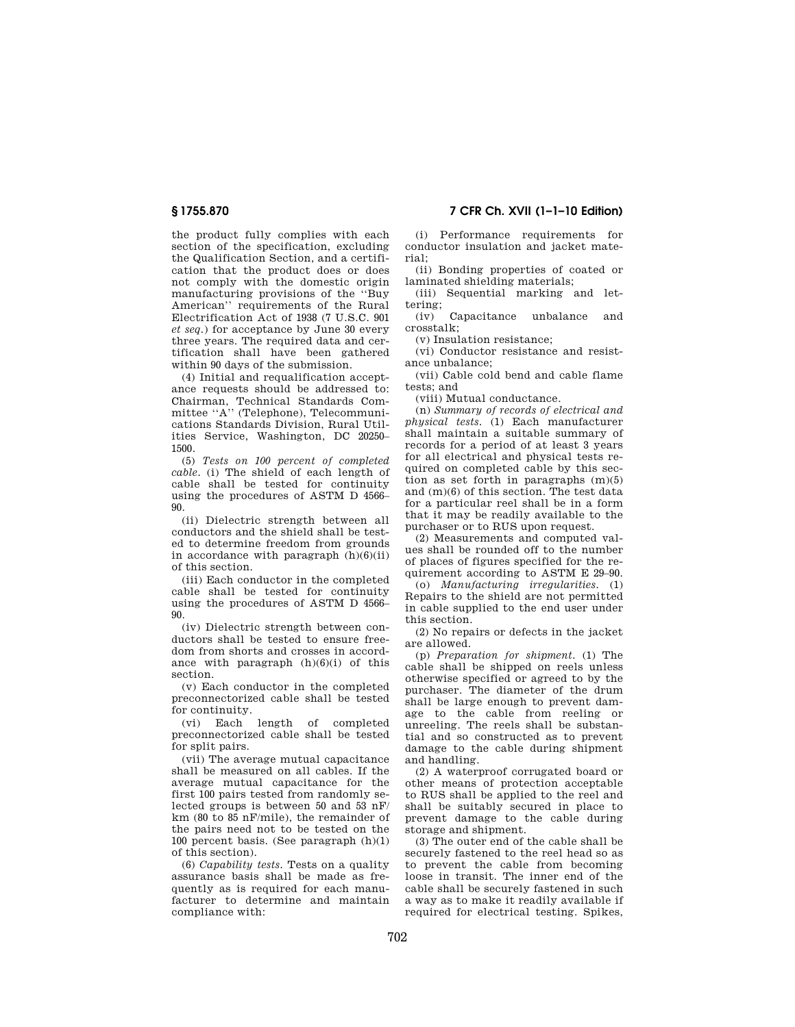the product fully complies with each section of the specification, excluding the Qualification Section, and a certification that the product does or does not comply with the domestic origin manufacturing provisions of the ''Buy American'' requirements of the Rural Electrification Act of 1938 (7 U.S.C. 901 *et seq.*) for acceptance by June 30 every three years. The required data and certification shall have been gathered within 90 days of the submission.

(4) Initial and requalification acceptance requests should be addressed to: Chairman, Technical Standards Committee ''A'' (Telephone), Telecommunications Standards Division, Rural Utilities Service, Washington, DC 20250– 1500.

(5) *Tests on 100 percent of completed cable.* (i) The shield of each length of cable shall be tested for continuity using the procedures of ASTM D 4566– 90.

(ii) Dielectric strength between all conductors and the shield shall be tested to determine freedom from grounds in accordance with paragraph (h)(6)(ii) of this section.

(iii) Each conductor in the completed cable shall be tested for continuity using the procedures of ASTM D 4566– 90.

(iv) Dielectric strength between conductors shall be tested to ensure freedom from shorts and crosses in accordance with paragraph  $(h)(6)(i)$  of this section.

(v) Each conductor in the completed preconnectorized cable shall be tested for continuity.

(vi) Each length of completed preconnectorized cable shall be tested for split pairs.

(vii) The average mutual capacitance shall be measured on all cables. If the average mutual capacitance for the first 100 pairs tested from randomly selected groups is between 50 and 53 nF/ km (80 to 85 nF/mile), the remainder of the pairs need not to be tested on the 100 percent basis. (See paragraph (h)(1) of this section).

(6) *Capability tests.* Tests on a quality assurance basis shall be made as frequently as is required for each manufacturer to determine and maintain compliance with:

(i) Performance requirements for conductor insulation and jacket material;

(ii) Bonding properties of coated or laminated shielding materials;

(iii) Sequential marking and lettering;

(iv) Capacitance unbalance and crosstalk;

(v) Insulation resistance;

(vi) Conductor resistance and resistance unbalance;

(vii) Cable cold bend and cable flame tests; and

(viii) Mutual conductance.

(n) *Summary of records of electrical and physical tests.* (1) Each manufacturer shall maintain a suitable summary of records for a period of at least 3 years for all electrical and physical tests required on completed cable by this section as set forth in paragraphs (m)(5) and (m)(6) of this section. The test data for a particular reel shall be in a form that it may be readily available to the purchaser or to RUS upon request.

(2) Measurements and computed values shall be rounded off to the number of places of figures specified for the requirement according to ASTM E 29–90.

(o) *Manufacturing irregularities.* (1) Repairs to the shield are not permitted in cable supplied to the end user under this section.

(2) No repairs or defects in the jacket are allowed.

(p) *Preparation for shipment.* (1) The cable shall be shipped on reels unless otherwise specified or agreed to by the purchaser. The diameter of the drum shall be large enough to prevent damage to the cable from reeling or unreeling. The reels shall be substantial and so constructed as to prevent damage to the cable during shipment and handling.

(2) A waterproof corrugated board or other means of protection acceptable to RUS shall be applied to the reel and shall be suitably secured in place to prevent damage to the cable during storage and shipment.

(3) The outer end of the cable shall be securely fastened to the reel head so as to prevent the cable from becoming loose in transit. The inner end of the cable shall be securely fastened in such a way as to make it readily available if required for electrical testing. Spikes,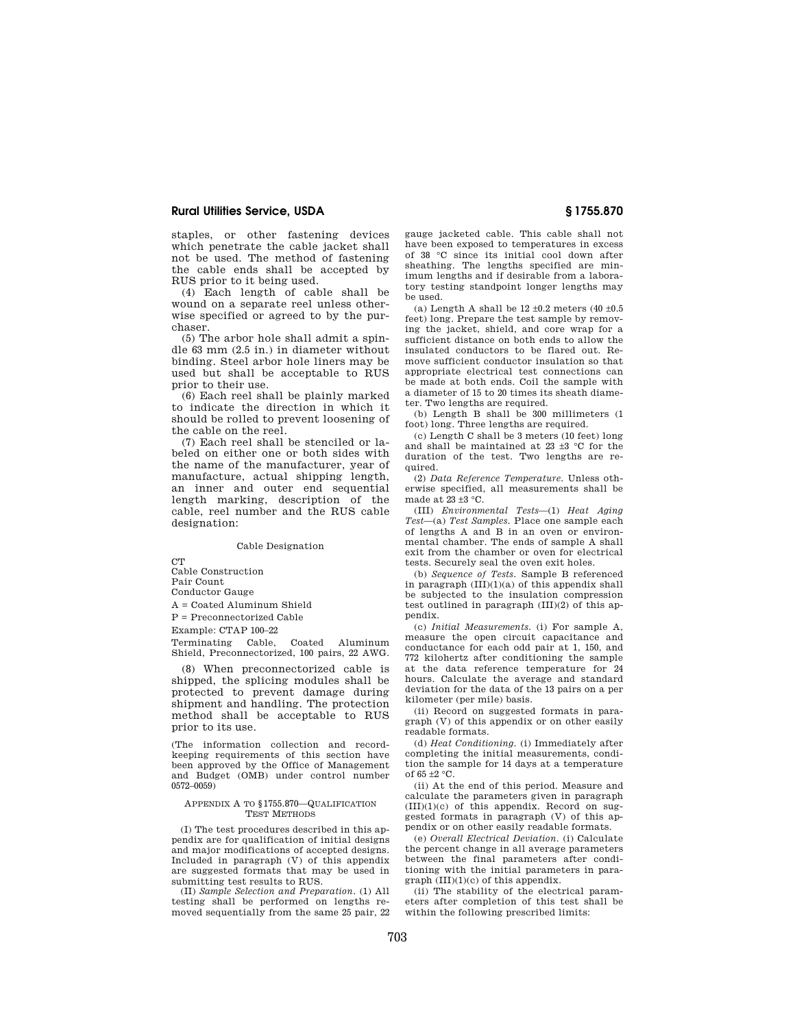staples, or other fastening devices which penetrate the cable jacket shall not be used. The method of fastening the cable ends shall be accepted by RUS prior to it being used.

(4) Each length of cable shall be wound on a separate reel unless otherwise specified or agreed to by the purchaser.

(5) The arbor hole shall admit a spindle 63 mm (2.5 in.) in diameter without binding. Steel arbor hole liners may be used but shall be acceptable to RUS prior to their use.

(6) Each reel shall be plainly marked to indicate the direction in which it should be rolled to prevent loosening of the cable on the reel.

(7) Each reel shall be stenciled or labeled on either one or both sides with the name of the manufacturer, year of manufacture, actual shipping length, an inner and outer end sequential length marking, description of the cable, reel number and the RUS cable designation:

### Cable Designation

 $CT$ 

Cable Construction Pair Count

Conductor Gauge

A = Coated Aluminum Shield

P = Preconnectorized Cable

Example: CTAP 100–22

Terminating Cable, Coated Aluminum Shield, Preconnectorized, 100 pairs, 22 AWG.

(8) When preconnectorized cable is shipped, the splicing modules shall be protected to prevent damage during shipment and handling. The protection method shall be acceptable to RUS prior to its use.

(The information collection and recordkeeping requirements of this section have been approved by the Office of Management and Budget (OMB) under control number 0572–0059)

### APPENDIX A TO §1755.870—QUALIFICATION TEST METHODS

(I) The test procedures described in this appendix are for qualification of initial designs and major modifications of accepted designs. Included in paragraph (V) of this appendix are suggested formats that may be used in submitting test results to RUS.

(II) *Sample Selection and Preparation.* (1) All testing shall be performed on lengths removed sequentially from the same 25 pair, 22

gauge jacketed cable. This cable shall not have been exposed to temperatures in excess of 38 °C since its initial cool down after sheathing. The lengths specified are minimum lengths and if desirable from a laboratory testing standpoint longer lengths may be used.

(a) Length A shall be  $12 \pm 0.2$  meters  $(40 \pm 0.5$ feet) long. Prepare the test sample by removing the jacket, shield, and core wrap for a sufficient distance on both ends to allow the insulated conductors to be flared out. Remove sufficient conductor insulation so that appropriate electrical test connections can be made at both ends. Coil the sample with a diameter of 15 to 20 times its sheath diameter. Two lengths are required.

(b) Length B shall be 300 millimeters (1 foot) long. Three lengths are required.

(c) Length C shall be 3 meters (10 feet) long and shall be maintained at  $23 + 3$  °C for the duration of the test. Two lengths are required.

(2) *Data Reference Temperature.* Unless otherwise specified, all measurements shall be made at  $23 \pm 3$  °C.

(III) *Environmental Tests*—(1) *Heat Aging Test*—(a) *Test Samples.* Place one sample each of lengths A and B in an oven or environmental chamber. The ends of sample A shall exit from the chamber or oven for electrical tests. Securely seal the oven exit holes.

(b) *Sequence of Tests.* Sample B referenced in paragraph (III)(1)(a) of this appendix shall be subjected to the insulation compression test outlined in paragraph (III)(2) of this appendix.

(c) *Initial Measurements.* (i) For sample A, measure the open circuit capacitance and conductance for each odd pair at 1, 150, and 772 kilohertz after conditioning the sample at the data reference temperature for 24 hours. Calculate the average and standard deviation for the data of the 13 pairs on a per kilometer (per mile) basis.

(ii) Record on suggested formats in paragraph (V) of this appendix or on other easily readable formats.

(d) *Heat Conditioning.* (i) Immediately after completing the initial measurements, condition the sample for 14 days at a temperature of 65 ±2 °C.

(ii) At the end of this period. Measure and calculate the parameters given in paragraph (III)(1)(c) of this appendix. Record on suggested formats in paragraph (V) of this appendix or on other easily readable formats.

(e) *Overall Electrical Deviation.* (i) Calculate the percent change in all average parameters between the final parameters after conditioning with the initial parameters in para $graph$  (III)(1)(c) of this appendix.

(ii) The stability of the electrical parameters after completion of this test shall be within the following prescribed limits: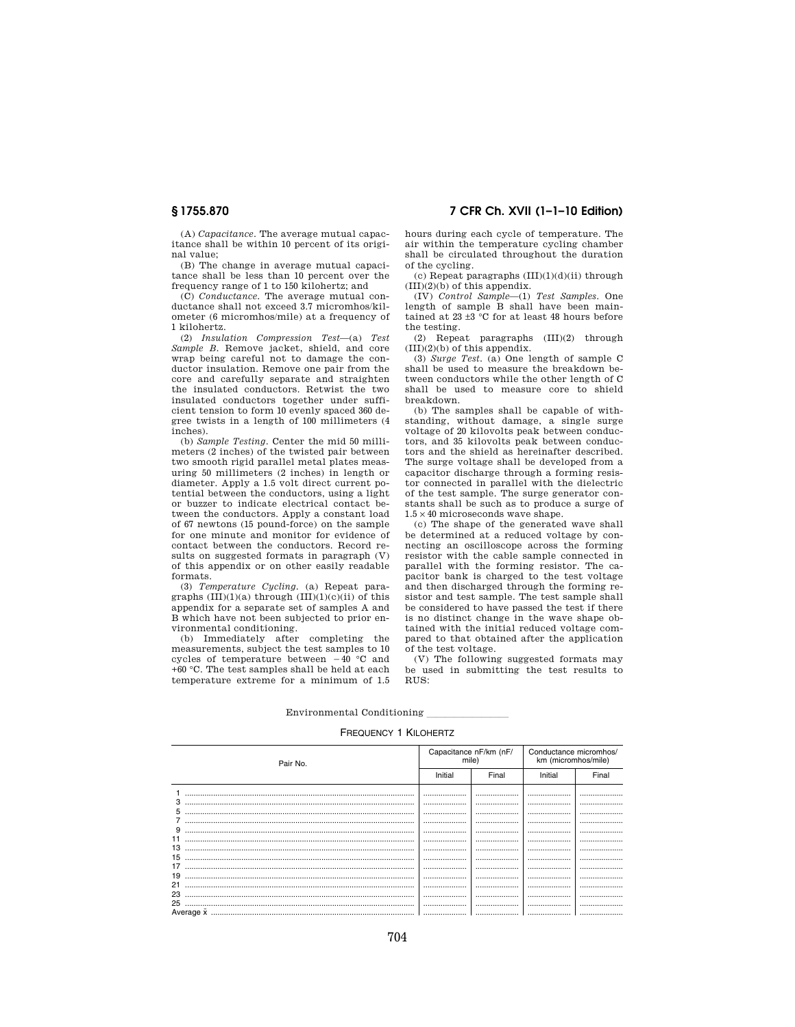**§ 1755.870 7 CFR Ch. XVII (1–1–10 Edition)** 

(A) *Capacitance.* The average mutual capacitance shall be within 10 percent of its original value;

(B) The change in average mutual capacitance shall be less than 10 percent over the frequency range of 1 to 150 kilohertz; and

(C) *Conductance.* The average mutual conductance shall not exceed 3.7 micromhos/kilometer (6 micromhos/mile) at a frequency of 1 kilohertz.

(2) *Insulation Compression Test*—(a) *Test Sample B.* Remove jacket, shield, and core wrap being careful not to damage the conductor insulation. Remove one pair from the core and carefully separate and straighten the insulated conductors. Retwist the two insulated conductors together under sufficient tension to form 10 evenly spaced 360 degree twists in a length of 100 millimeters (4 inches).

(b) *Sample Testing.* Center the mid 50 millimeters (2 inches) of the twisted pair between two smooth rigid parallel metal plates measuring 50 millimeters (2 inches) in length or diameter. Apply a 1.5 volt direct current potential between the conductors, using a light or buzzer to indicate electrical contact between the conductors. Apply a constant load of 67 newtons (15 pound-force) on the sample for one minute and monitor for evidence of contact between the conductors. Record results on suggested formats in paragraph (V) of this appendix or on other easily readable formats.

(3) *Temperature Cycling.* (a) Repeat paragraphs  $(III)(1)(a)$  through  $(III)(1)(c)(ii)$  of this appendix for a separate set of samples A and B which have not been subjected to prior environmental conditioning.

(b) Immediately after completing the measurements, subject the test samples to 10 cycles of temperature between  $-40$  °C and +60 °C. The test samples shall be held at each temperature extreme for a minimum of 1.5 hours during each cycle of temperature. The air within the temperature cycling chamber shall be circulated throughout the duration of the cycling.

(c) Repeat paragraphs  $\mathrm{(III)}(1)(\mathrm{d})(\mathrm{ii})$  through  $(III)(2)(b)$  of this appendix.

(IV) *Control Sample*—(1) *Test Samples.* One length of sample B shall have been maintained at 23 ±3 °C for at least 48 hours before the testing.

(2) Repeat paragraphs (III)(2) through  $(III)(2)(b)$  of this appendix.

(3) *Surge Test.* (a) One length of sample C shall be used to measure the breakdown between conductors while the other length of C shall be used to measure core to shield breakdown.

(b) The samples shall be capable of withstanding, without damage, a single surge voltage of 20 kilovolts peak between conductors, and 35 kilovolts peak between conductors and the shield as hereinafter described. The surge voltage shall be developed from a capacitor discharge through a forming resistor connected in parallel with the dielectric of the test sample. The surge generator constants shall be such as to produce a surge of  $1.5 \times 40$  microseconds wave shape.

(c) The shape of the generated wave shall be determined at a reduced voltage by connecting an oscilloscope across the forming resistor with the cable sample connected in parallel with the forming resistor. The capacitor bank is charged to the test voltage and then discharged through the forming resistor and test sample. The test sample shall be considered to have passed the test if there is no distinct change in the wave shape obtained with the initial reduced voltage compared to that obtained after the application of the test voltage.

(V) The following suggested formats may be used in submitting the test results to RUS:

Environmental Conditioning

### FREQUENCY 1 KILOHERTZ

|    | Pair No. |  | Capacitance nF/km (nF/<br>mile) |         | Conductance micromhos/<br>km (micromhos/mile) |  |
|----|----------|--|---------------------------------|---------|-----------------------------------------------|--|
|    |          |  | Final                           | Initial | Final                                         |  |
|    |          |  |                                 |         |                                               |  |
|    |          |  |                                 |         |                                               |  |
| з  |          |  |                                 |         |                                               |  |
| 5  |          |  |                                 |         |                                               |  |
|    |          |  |                                 |         |                                               |  |
| 9  |          |  |                                 |         |                                               |  |
|    |          |  |                                 |         |                                               |  |
| 13 |          |  |                                 |         |                                               |  |
|    |          |  |                                 |         |                                               |  |
| 15 |          |  |                                 |         |                                               |  |
| 17 |          |  |                                 |         |                                               |  |
| 19 |          |  |                                 |         |                                               |  |
| 21 |          |  |                                 |         |                                               |  |
| 23 |          |  |                                 |         |                                               |  |
| 25 |          |  |                                 |         |                                               |  |
|    |          |  |                                 |         |                                               |  |
|    |          |  |                                 |         |                                               |  |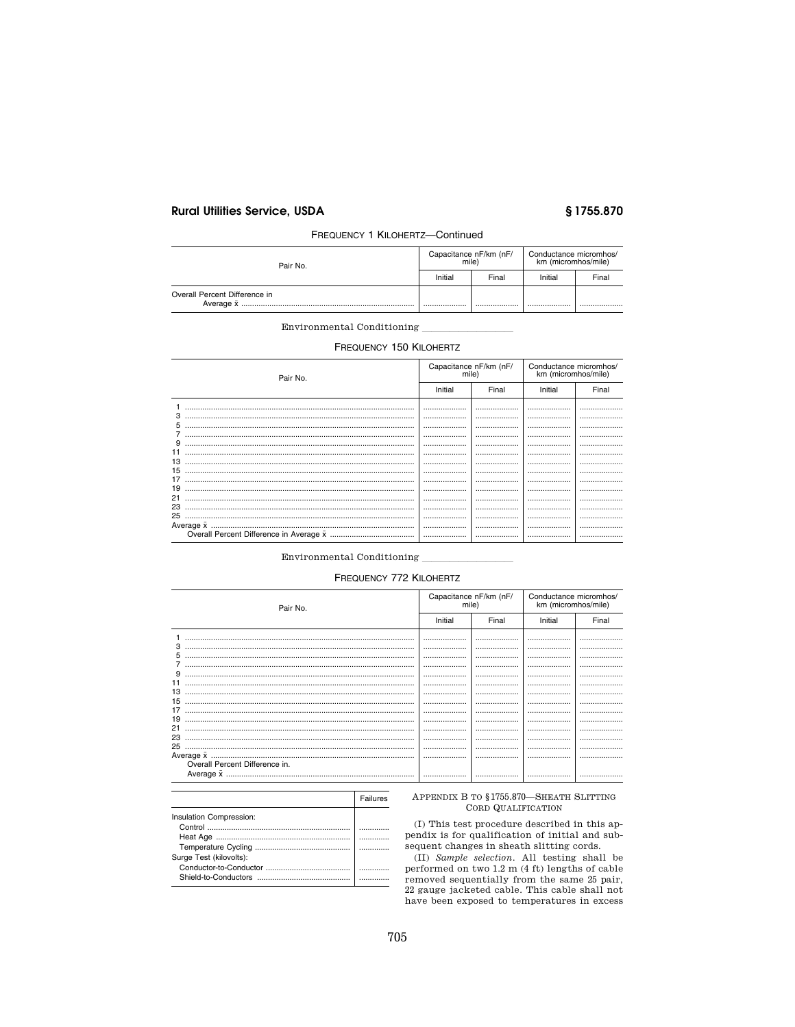# **Rural Utilities Service, USDA**

# §1755.870

|  | FREQUENCY 1 KILOHERTZ-Continued |
|--|---------------------------------|
|--|---------------------------------|

| Pair No.                                   | Capacitance nF/km (nF/<br>mile) |       | Conductance micromhos/<br>km (micromhos/mile) |       |
|--------------------------------------------|---------------------------------|-------|-----------------------------------------------|-------|
|                                            | Initial                         | Final | Initial                                       | Final |
| Overall Percent Difference in<br>Average x |                                 |       |                                               |       |

Environmental Conditioning  $\_$ 

# FREQUENCY 150 KILOHERTZ

| Pair No. | Capacitance nF/km (nF/<br>mile) |       | Conductance micromhos/<br>km (micromhos/mile) |       |
|----------|---------------------------------|-------|-----------------------------------------------|-------|
|          | Initial                         | Final | Initial                                       | Final |
| з        | <br>                            | <br>  | <br>                                          | <br>  |
| 5        | <br>                            | <br>  | <br>                                          | <br>  |
| 9<br>11  | <br>                            | <br>  | <br>                                          | <br>  |
| 13<br>15 | <br>                            | <br>. | <br>                                          | <br>  |
| 17<br>19 | <br>                            | <br>  | <br>                                          | <br>  |
| 21<br>23 | <br>                            | <br>  | <br>                                          | <br>  |
| 25       | <br>                            | <br>. | <br>                                          |       |
|          |                                 |       |                                               |       |

# Environmental Conditioning  $\_$

# FREQUENCY 772 KILOHERTZ

| Pair No. |                                | Capacitance nF/km (nF/<br>mile) |       | Conductance micromhos/<br>km (micromhos/mile) |       |
|----------|--------------------------------|---------------------------------|-------|-----------------------------------------------|-------|
|          |                                |                                 | Final | Initial                                       | Final |
|          |                                |                                 |       |                                               |       |
| 3        |                                |                                 |       |                                               |       |
| 5        |                                |                                 |       |                                               |       |
|          |                                |                                 | .     |                                               |       |
|          |                                |                                 | .     |                                               |       |
| 11       |                                |                                 |       |                                               |       |
|          |                                |                                 |       |                                               |       |
|          |                                |                                 | .     |                                               |       |
|          |                                |                                 | .     |                                               |       |
|          |                                |                                 |       |                                               |       |
|          |                                |                                 |       |                                               |       |
|          |                                |                                 |       |                                               |       |
|          |                                |                                 | .     |                                               |       |
|          |                                |                                 |       |                                               |       |
|          | Overall Percent Difference in. |                                 |       |                                               |       |
|          |                                |                                 |       |                                               |       |

|                         | Failures |
|-------------------------|----------|
| Insulation Compression: |          |
|                         |          |
|                         |          |
|                         |          |
| Surge Test (kilovolts): |          |
|                         |          |
|                         |          |

### APPENDIX B TO  $\S\,1755.870$  –SHEATH SLITTING CORD QUALIFICATION

(I) This test procedure described in this appendix is for qualification of initial and subsequent changes in sheath slitting cords.

(II) Sample selection. All testing shall be performed on two 1.2 m (4 ft) lengths of cable removed sequentially from the same 25 pair, 22 gauge jacketed cable. This cable shall not have been exposed to temperatures in excess